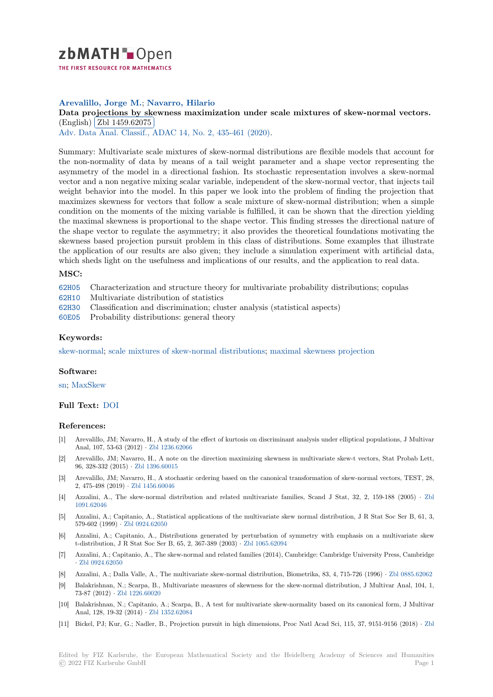

THE FIRST RESOURCE FOR MATHEMATICS

# **Arevalillo, Jorge M.**; **Navarro, Hilario**

[D](https://zbmath.org/)ata projections by skewness maximization under scale mixtures of skew-normal vectors. (English) Zbl 1459.62075

Adv. Data Anal. Classif., ADAC 14, No. 2, 435-461 (2020).

[Summary: Multivariate scale mixtures of skew-normal distributions are flexible models that account for](https://zbmath.org/1459.62075) the non-[normality of data](https://zbmath.org/1459.62075) by means of a tail weight parameter and a shape vector representing the [asymmetry of the model in a di](https://zbmath.org/journals/?q=se:4917)[rectional fashion. Its stoc](https://zbmath.org/?q=in:453444)hastic representation involves a skew-normal vector and a non negative mixing scalar variable, independent of the skew-normal vector, that injects tail weight behavior into the model. In this paper we look into the problem of finding the projection that maximizes skewness for vectors that follow a scale mixture of skew-normal distribution; when a simple condition on the moments of the mixing variable is fulfilled, it can be shown that the direction yielding the maximal skewness is proportional to the shape vector. This finding stresses the directional nature of the shape vector to regulate the asymmetry; it also provides the theoretical foundations motivating the skewness based projection pursuit problem in this class of distributions. Some examples that illustrate the application of our results are also given; they include a simulation experiment with artificial data, which sheds light on the usefulness and implications of our results, and the application to real data.

# **MSC:**

62H05 Characterization and structure theory for multivariate probability distributions; copulas

62H10 Multivariate distribution of statistics

62H30 Classification and discrimination; cluster analysis (statistical aspects)

60E05 Probability distributions: general theory

## **[Keyw](https://zbmath.org/classification/?q=cc:62H10)ords:**

[skew-n](https://zbmath.org/classification/?q=cc:62H30)ormal; scale mixtures of skew-normal distributions; maximal skewness projection

### **Software:**

sn; [MaxSkew](https://zbmath.org/?q=ut:skew-normal)

## **Full Text:** DOI

#### **[Re](https://swmath.org/software/8059)[ferences:](https://swmath.org/software/25593)**

- [1] Arevalillo, JM; Navarro, H., A study of the effect of kurtosis on discriminant analysis under elliptical populations, J Multivar Anal, 107[, 53-6](https://dx.doi.org/10.1007/s11634-020-00388-6)3 (2012) *·* Zbl 1236.62066
- [2] Arevalillo, JM; Navarro, H., A note on the direction maximizing skewness in multivariate skew-t vectors, Stat Probab Lett, 96, 328-332 (2015) *·* Zbl 1396.60015
- [3] Arevalillo, JM; Navarro, H., A stochastic ordering based on the canonical transformation of skew-normal vectors, TEST, 28, 2, 475-498 (2019) *·* Zbl 1[456.60046](https://zbmath.org/1236.62066)
- [4] Azzalini, A., The skew-normal distribution and related multivariate families, Scand J Stat, 32, 2, 159-188 (2005) *·* Zbl 1091.62046
- [5] Azzalini, A.; Capitanio, A., Statistical applications of the multivariate skew normal distribution, J R Stat Soc Ser B, 61, 3, 579-602 (1999) *·* Z[bl 0924.62050](https://zbmath.org/1456.60046)
- [6] Azzalini, A.; Capitanio, A., Distributions generated by perturbation of symmetry with emphasis on a multivariates[kew](https://zbmath.org/1091.62046) [t-distributio](https://zbmath.org/1091.62046)n, J R Stat Soc Ser B, 65, 2, 367-389 (2003) *·* Zbl 1065.62094
- [7] Azzalini, A.; Capitanio, A., The skew-normal and related families (2014), Cambridge: Cambridge University Press, Cambridge *·* Zbl 0924.62050
- [8] Azzalini, A.; Dalla Valle, A., The multivariate skew-normal distribution, Biometrika, 83, 4, 715-726 (1996) *·* Zbl 0885.62062
- [9] Balakrishnan, N.; Scarpa, B., Multivariate measures of sk[ewness for the s](https://zbmath.org/1065.62094)kew-normal distribution, J Multivar Anal, 104, 1, 73-87 (2012) *·* Zbl 1226.60020
- [10] [Balakrishnan, N.](https://zbmath.org/0924.62050); Capitanio, A.; Scarpa, B., A test for multivariate skew-normality based on its canonical form, J Multivar Anal, 128, 19-32 (2014) *·* Zbl 1352.62084
- [11] Bickel, PJ; Kur, G.; Nadler, B., Projection pursuit in high dimensions, Proc Natl Acad Sci, 115, 37, 9151-9156 (2018) *·* Zbl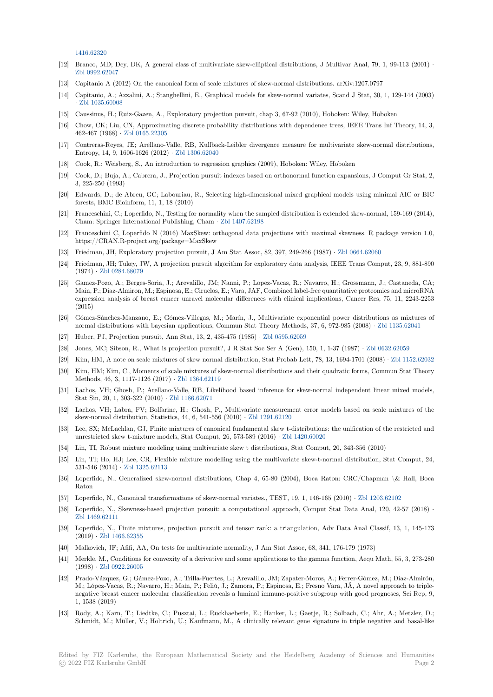1416.62320

- [12] Branco, MD; Dey, DK, A general class of multivariate skew-elliptical distributions, J Multivar Anal, 79, 1, 99-113 (2001) *·* Zbl 0992.62047
- [13] Capitanio A (2012) On the canonical form of scale mixtures of skew-normal distributions. arXiv:1207.0797
- [14] Capitanio, A.; Azzalini, A.; Stanghellini, E., Graphical models for skew-normal variates, Scand J Stat, 30, 1, 129-144 (2003) *·* Zbl 1035.60008
- [15] [Caussinus, H.;](https://zbmath.org/0992.62047) Ruiz-Gazen, A., Exploratory projection pursuit, chap 3, 67-92 (2010), Hoboken: Wiley, Hoboken
- [16] Chow, CK; Liu, CN, Approximating discrete probability distributions with dependence trees, IEEE Trans Inf Theory, 14, 3, 462-467 (1968) *·* Zbl 0165.22305
- [17] [Contreras-Reyes,](https://zbmath.org/1035.60008) JE; Arellano-Valle, RB, Kullback-Leibler divergence measure for multivariate skew-normal distributions, Entropy, 14, 9, 1606-1626 (2012) *·* Zbl 1306.62040
- [18] Cook, R.; Weisberg, S., An introduction to regression graphics (2009), Hoboken: Wiley, Hoboken
- [19] Cook, D.; Buja, [A.; Cabrera, J.,](https://zbmath.org/0165.22305) Projection pursuit indexes based on orthonormal function expansions, J Comput Gr Stat, 2, 3, 225-250 (1993)
- [20] Edwards, D.; de Abreu, GC; Labo[uriau, R., Selec](https://zbmath.org/1306.62040)ting high-dimensional mixed graphical models using minimal AIC or BIC forests, BMC Bioinform, 11, 1, 18 (2010)
- [21] Franceschini, C.; Loperfido, N., Testing for normality when the sampled distribution is extended skew-normal, 159-169 (2014), Cham: Springer International Publishing, Cham *·* Zbl 1407.62198
- [22] Franceschini C, Loperfido N (2016) MaxSkew: orthogonal data projections with maximal skewness. R package version 1.0, https://CRAN.R-project.org/package=MaxSkew
- [23] Friedman, JH, Exploratory projection pursuit, J Am Stat Assoc, 82, 397, 249-266 (1987) *·* Zbl 0664.62060
- [24] Friedman, JH; Tukey, JW, A projection pursuit al[gorithm for exp](https://zbmath.org/1407.62198)loratory data analysis, IEEE Trans Comput, 23, 9, 881-890 (1974) *·* Zbl 0284.68079
- [25] Gamez-Pozo, A.; Berges-Soria, J.; Arevalillo, JM; Nanni, P.; Lopez-Vacas, R.; Navarro, H.; Grossmann, J.; Castaneda, CA; Main, P.; Diaz-Almiron, M.; Espinosa, E.; Ciruelos, E.; Vara, JAF, Combined label-free quan[titative proteom](https://zbmath.org/0664.62060)ics and microRNA expression analysis of breast cancer unravel molecular differences with clinical implications, Cancer Res, 75, 11, 2243-2253 (2015)
- [26] Gómez-[Sánchez-Manzan](https://zbmath.org/0284.68079)o, E.; Gómez-Villegas, M.; Marín, J., Multivariate exponential power distributions as mixtures of normal distributions with bayesian applications, Commun Stat Theory Methods, 37, 6, 972-985 (2008) *·* Zbl 1135.62041
- [27] Huber, PJ, Projection pursuit, Ann Stat, 13, 2, 435-475 (1985) *·* Zbl 0595.62059
- [28] Jones, MC; Sibson, R., What is projection pursuit?, J R Stat Soc Ser A (Gen), 150, 1, 1-37 (1987) *·* Zbl 0632.62059
- [29] Kim, HM, A note on scale mixtures of skew normal distribution, Stat Probab Lett, 78, 13, 1694-1701 (2008) *·* Zbl 1152.62032
- [30] Kim, HM; Kim, C., Moments of scale mixtures of skew-normal di[stributions and](https://zbmath.org/0595.62059) their quadratic forms, C[ommun Stat Th](https://zbmath.org/1135.62041)eory Methods, 46, 3, 1117-1126 (2017) *·* Zbl 1364.62119
- [31] Lachos, VH; Ghosh, P.; Arellano-Valle, RB, Likelihood based inference for skew-normal independe[nt linear mixed](https://zbmath.org/0632.62059) models, Stat Sin, 20, 1, 303-322 (2010) *·* Zbl 1186.62071
- [32] Lachos, VH; Labra, FV; Bolfarine, H.; Ghosh, P., Multivariate measurement error models based on scale mixtures of the skew-normal distribution, Statistic[s, 44, 6, 541-556](https://zbmath.org/1364.62119) (2010) *·* Zbl 1291.62120
- [33] Lee, SX; McLachlan, GJ, Finite mixtures of canonical fundamental skew t-distributions: the unification of the restricted and unrestricted skew t-mixture mo[dels, Stat Compu](https://zbmath.org/1186.62071)t, 26, 573-589 (2016) *·* Zbl 1420.60020
- [34] Lin, TI, Robust mixture modeling using multivariate skew t distributions, Stat Comput, 20, 343-356 (2010)
- [35] Lin, TI; Ho, HJ; Lee, CR, Flexible mixture modelling usin[g the multivaria](https://zbmath.org/1291.62120)te skew-t-normal distribution, Stat Comput, 24, 531-546 (2014) *·* Zbl 1325.62113
- [36] Loperfido, N., Generalized skew-normal distributions, Chap 4, 65-80 [\(2004\), Boca R](https://zbmath.org/1420.60020)aton: CRC/Chapman \& Hall, Boca Raton
- [37] Loperfido, N., Canonical transformations of skew-normal variates., TEST, 19, 1, 146-165 (2010) *·* Zbl 1203.62102
- [38] Loperfido, N., S[kewness-based p](https://zbmath.org/1325.62113)rojection pursuit: a computational approach, Comput Stat Data Anal, 120, 42-57 (2018) *·* Zbl 1469.62111
- [39] Loperfido, N., Finite mixtures, projection pursuit and tensor rank: a triangulation, Adv Data Anal Classif, 13, 1, 145-173 (2019) *·* Zbl 1466.62355
- [40] Malkovich, JF; Afifi, AA, On tests for multivariate normality, J Am Stat Assoc, 68, 341, 176-179 (1973)
- [41] [Merkle, M., Con](https://zbmath.org/1469.62111)ditions for convexity of a derivative and some applications to the gamma function, Aequ Math, 55, 3, 273-280 (1998) *·* Zbl 0922.26005
- [42] Prado-V[ázquez, G.; Gám](https://zbmath.org/1466.62355)ez-Pozo, A.; Trilla-Fuertes, L.; Arevalillo, JM; Zapater-Moros, A.; Ferrer-Gómez, M.; Díaz-Almirón, M.; López-Vacas, R.; Navarro, H.; Maín, P.; Feliú, J.; Zamora, P.; Espinosa, E.; Fresno Vara, JÁ, A novel approach to triplenegative breast cancer molecular classification reveals a luminal immune-positive subgroup with good prognoses, Sci Rep, 9, 1, 1538 (2019)
- [43] Rody, A[.; Karn, T.; Lie](https://zbmath.org/0922.26005)dtke, C.; Pusztai, L.; Ruckhaeberle, E.; Hanker, L.; Gaetje, R.; Solbach, C.; Ahr, A.; Metzler, D.; Schmidt, M.; Müller, V.; Holtrich, U.; Kaufmann, M., A clinically relevant gene signature in triple negative and basal-like